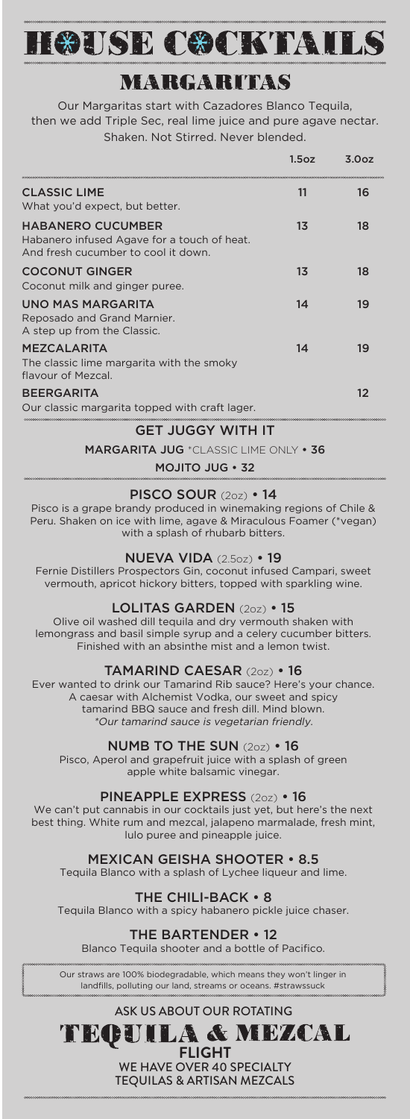# HOUSE COCKTAILS

## NEARGARITAS

Our Margaritas start with Cazadores Blanco Tequila, then we add Triple Sec, real lime juice and pure agave nectar. Shaken. Not Stirred. Never blended.

|                                                                                                                | 1.5oz | 3.007 |
|----------------------------------------------------------------------------------------------------------------|-------|-------|
| <b>CLASSIC LIME</b><br>What you'd expect, but better.                                                          | 11    | 16    |
| <b>HABANERO CUCUMBER</b><br>Habanero infused Agave for a touch of heat.<br>And fresh cucumber to cool it down. | 13    | 18    |
| <b>COCONUT GINGER</b><br>Coconut milk and ginger puree.                                                        | 13    | 18    |
| UNO MAS MARGARITA<br>Reposado and Grand Marnier.<br>A step up from the Classic.                                | 14    | 19    |
| <b>MEZCALARITA</b><br>The classic lime margarita with the smoky<br>flavour of Mezcal.                          | 14    | 19    |
| <b>BEERGARITA</b><br>Our classic margarita topped with craft lager.                                            |       | 12    |

#### GET JUGGY WITH IT

MARGARITA JUG \*CLASSIC LIME ONLY • 36

MOJITO JUG • 32

#### PISCO SOUR (2oz) • 14

Pisco is a grape brandy produced in winemaking regions of Chile & Peru. Shaken on ice with lime, agave & Miraculous Foamer (\*vegan) with a splash of rhubarb bitters.

#### NUEVA VIDA (2.5oz) • 19

Fernie Distillers Prospectors Gin, coconut infused Campari, sweet vermouth, apricot hickory bitters, topped with sparkling wine.

#### LOLITAS GARDEN (2oz) • 15

Olive oil washed dill tequila and dry vermouth shaken with lemongrass and basil simple syrup and a celery cucumber bitters. Finished with an absinthe mist and a lemon twist.

#### TAMARIND CAESAR (2oz) • 16

Ever wanted to drink our Tamarind Rib sauce? Here's your chance. A caesar with Alchemist Vodka, our sweet and spicy tamarind BBQ sauce and fresh dill. Mind blown. \*Our tamarind sauce is vegetarian friendly.

#### NUMB TO THE SUN (2oz) • 16

Pisco, Aperol and grapefruit juice with a splash of green apple white balsamic vinegar.

#### PINEAPPLE EXPRESS (2oz) • 16

We can't put cannabis in our cocktails just yet, but here's the next best thing. White rum and mezcal, jalapeno marmalade, fresh mint, lulo puree and pineapple juice.

#### MEXICAN GEISHA SHOOTER • 8.5

Tequila Blanco with a splash of Lychee liqueur and lime.

THE CHILI-BACK • 8

Tequila Blanco with a spicy habanero pickle juice chaser.

#### HE BARTENDER • 12

Blanco Tequila shooter and a bottle of Pacifico.

Our straws are 100% biodegradable, which means they won't linger in landfills, polluting our land, streams or oceans. #strawssuck

#### ASK US ABOUT OUR ROTATING

LA & MEZCAL TEGU **FLIGHT**

> WE HAVE OVER 40 SPECIALTY TEQUILAS & ARTISAN MEZCALS